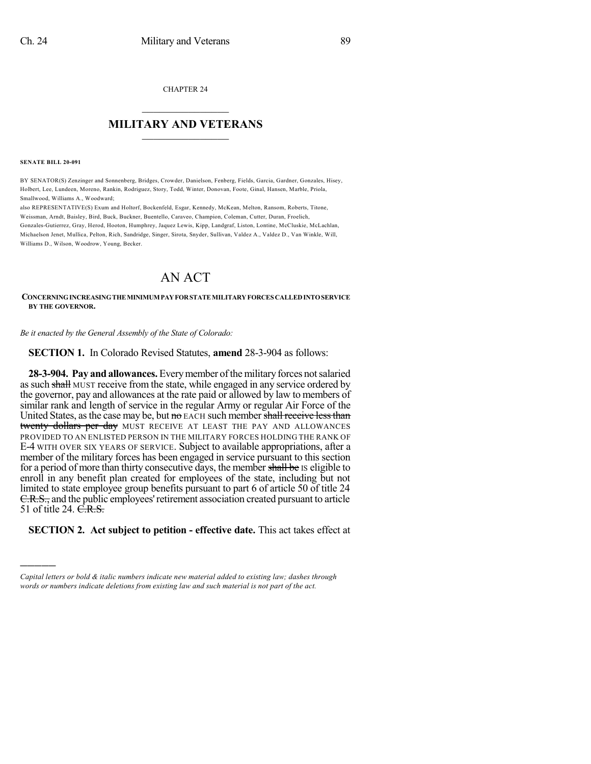CHAPTER 24

## $\overline{\phantom{a}}$  . The set of the set of the set of the set of the set of the set of the set of the set of the set of the set of the set of the set of the set of the set of the set of the set of the set of the set of the set o **MILITARY AND VETERANS**  $\frac{1}{2}$  ,  $\frac{1}{2}$  ,  $\frac{1}{2}$  ,  $\frac{1}{2}$  ,  $\frac{1}{2}$  ,  $\frac{1}{2}$  ,  $\frac{1}{2}$

**SENATE BILL 20-091**

)))))

BY SENATOR(S) Zenzinger and Sonnenberg, Bridges, Crowder, Danielson, Fenberg, Fields, Garcia, Gardner, Gonzales, Hisey, Holbert, Lee, Lundeen, Moreno, Rankin, Rodriguez, Story, Todd, Winter, Donovan, Foote, Ginal, Hansen, Marble, Priola, Smallwood, Williams A., Woodward;

also REPRESENTATIVE(S) Exum and Holtorf, Bockenfeld, Esgar, Kennedy, McKean, Melton, Ransom, Roberts, Titone, Weissman, Arndt, Baisley, Bird, Buck, Buckner, Buentello, Caraveo, Champion, Coleman, Cutter, Duran, Froelich, Gonzales-Gutierrez, Gray, Herod, Hooton, Humphrey, Jaquez Lewis, Kipp, Landgraf, Liston, Lontine, McCluskie, McLachlan, Michaelson Jenet, Mullica, Pelton, Rich, Sandridge, Singer, Sirota, Snyder, Sullivan, Valdez A., Valdez D., Van Winkle, Will, Williams D., Wilson, Woodrow, Young, Becker.

## AN ACT

## **CONCERNINGINCREASINGTHEMINIMUMPAYFORSTATEMILITARYFORCES CALLEDINTOSERVICE BY THE GOVERNOR.**

*Be it enacted by the General Assembly of the State of Colorado:*

**SECTION 1.** In Colorado Revised Statutes, **amend** 28-3-904 as follows:

**28-3-904. Pay andallowances.** Everymember ofthe military forces notsalaried as such shall MUST receive from the state, while engaged in any service ordered by the governor, pay and allowances at the rate paid or allowed by law to members of similar rank and length of service in the regular Army or regular Air Force of the United States, as the case may be, but  $\theta$  EACH such member shall receive less than twenty dollars per day MUST RECEIVE AT LEAST THE PAY AND ALLOWANCES PROVIDED TO AN ENLISTED PERSON IN THE MILITARY FORCES HOLDING THE RANK OF E-4 WITH OVER SIX YEARS OF SERVICE. Subject to available appropriations, after a member of the military forces has been engaged in service pursuant to this section for a period of more than thirty consecutive days, the member shall be IS eligible to enroll in any benefit plan created for employees of the state, including but not limited to state employee group benefits pursuant to part 6 of article 50 of title 24 E.R.S., and the public employees' retirement association created pursuant to article 51 of title 24. C.R.S.

**SECTION 2. Act subject to petition - effective date.** This act takes effect at

*Capital letters or bold & italic numbers indicate new material added to existing law; dashes through words or numbers indicate deletions from existing law and such material is not part of the act.*